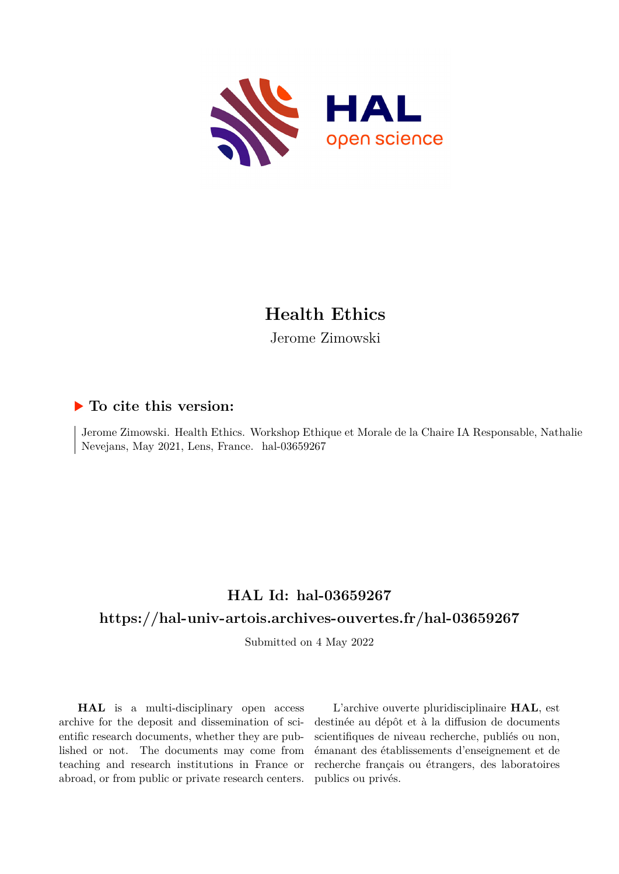

# **Health Ethics**

Jerome Zimowski

## **To cite this version:**

Jerome Zimowski. Health Ethics. Workshop Ethique et Morale de la Chaire IA Responsable, Nathalie Nevejans, May 2021, Lens, France. hal-03659267

## **HAL Id: hal-03659267**

## **<https://hal-univ-artois.archives-ouvertes.fr/hal-03659267>**

Submitted on 4 May 2022

**HAL** is a multi-disciplinary open access archive for the deposit and dissemination of scientific research documents, whether they are published or not. The documents may come from teaching and research institutions in France or abroad, or from public or private research centers.

L'archive ouverte pluridisciplinaire **HAL**, est destinée au dépôt et à la diffusion de documents scientifiques de niveau recherche, publiés ou non, émanant des établissements d'enseignement et de recherche français ou étrangers, des laboratoires publics ou privés.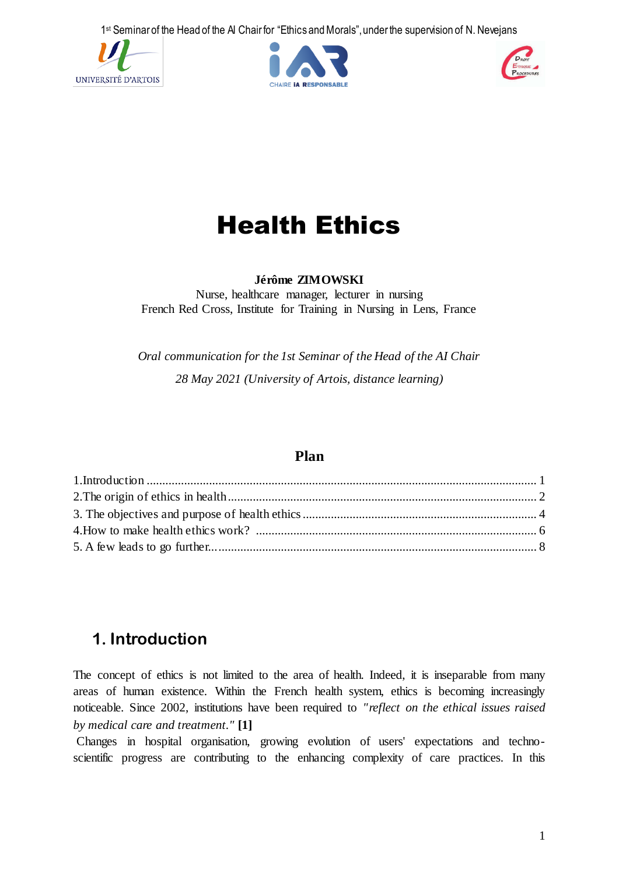





# Health Ethics

#### **Jérôme ZIMOWSKI**

Nurse, healthcare manager, lecturer in nursing French Red Cross, Institute for Training in Nursing in Lens, France

*Oral communication for the 1st Seminar of the Head of the AI Chair 28 May 2021 (University of Artois, distance learning)*

## **Plan**

# **1. Introduction**

The concept of ethics is not limited to the area of health. Indeed, it is inseparable from many areas of human existence. Within the French health system, ethics is becoming increasingly noticeable. Since 2002, institutions have been required to *"reflect on the ethical issues raised by medical care and treatment."* **[1]**

Changes in hospital organisation, growing evolution of users' expectations and technoscientific progress are contributing to the enhancing complexity of care practices. In this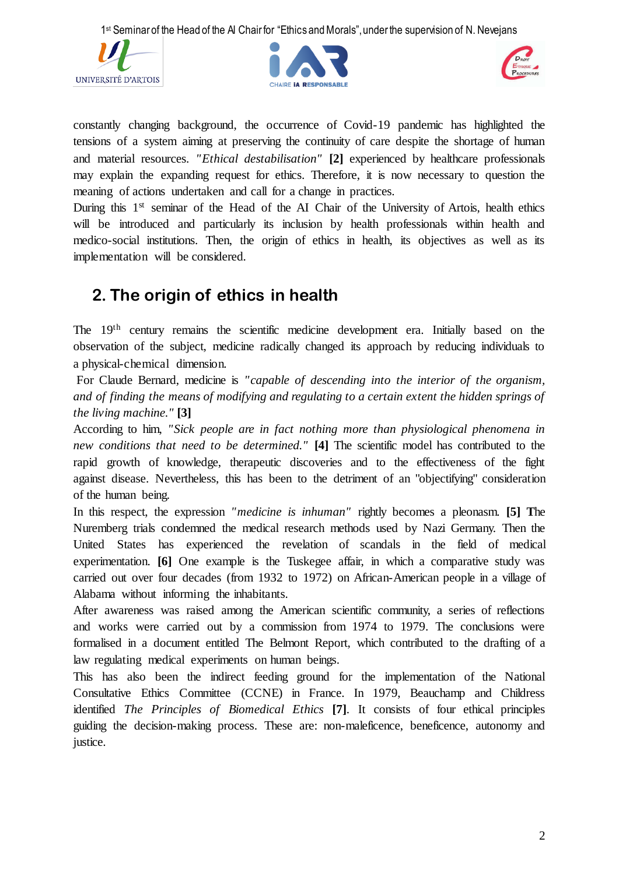





constantly changing background, the occurrence of Covid-19 pandemic has highlighted the tensions of a system aiming at preserving the continuity of care despite the shortage of human and material resources. *"Ethical destabilisation"* **[2]** experienced by healthcare professionals may explain the expanding request for ethics. Therefore, it is now necessary to question the meaning of actions undertaken and call for a change in practices.

During this  $1<sup>st</sup>$  seminar of the Head of the AI Chair of the University of Artois, health ethics will be introduced and particularly its inclusion by health professionals within health and medico-social institutions. Then, the origin of ethics in health, its objectives as well as its implementation will be considered.

# **2. The origin of ethics in health**

The 19th century remains the scientific medicine development era. Initially based on the observation of the subject, medicine radically changed its approach by reducing individuals to a physical-chemical dimension.

For Claude Bernard, medicine is *"capable of descending into the interior of the organism, and of finding the means of modifying and regulating to a certain extent the hidden springs of the living machine."* **[3]**

According to him, *"Sick people are in fact nothing more than physiological phenomena in new conditions that need to be determined."* [4] The scientific model has contributed to the rapid growth of knowledge, therapeutic discoveries and to the effectiveness of the fight against disease. Nevertheless, this has been to the detriment of an "objectifying" consideration of the human being.

In this respect, the expression *"medicine is inhuman"* rightly becomes a pleonasm. **[5] T**he Nuremberg trials condemned the medical research methods used by Nazi Germany. Then the United States has experienced the revelation of scandals in the field of medical experimentation. **[6]** One example is the Tuskegee affair, in which a comparative study was carried out over four decades (from 1932 to 1972) on African-American people in a village of Alabama without informing the inhabitants.

After awareness was raised among the American scientific community, a series of reflections and works were carried out by a commission from 1974 to 1979. The conclusions were formalised in a document entitled The Belmont Report, which contributed to the drafting of a law regulating medical experiments on human beings.

This has also been the indirect feeding ground for the implementation of the National Consultative Ethics Committee (CCNE) in France. In 1979, Beauchamp and Childress identified *The Principles of Biomedical Ethics* **[7]**. It consists of four ethical principles guiding the decision-making process. These are: non-maleficence, beneficence, autonomy and justice.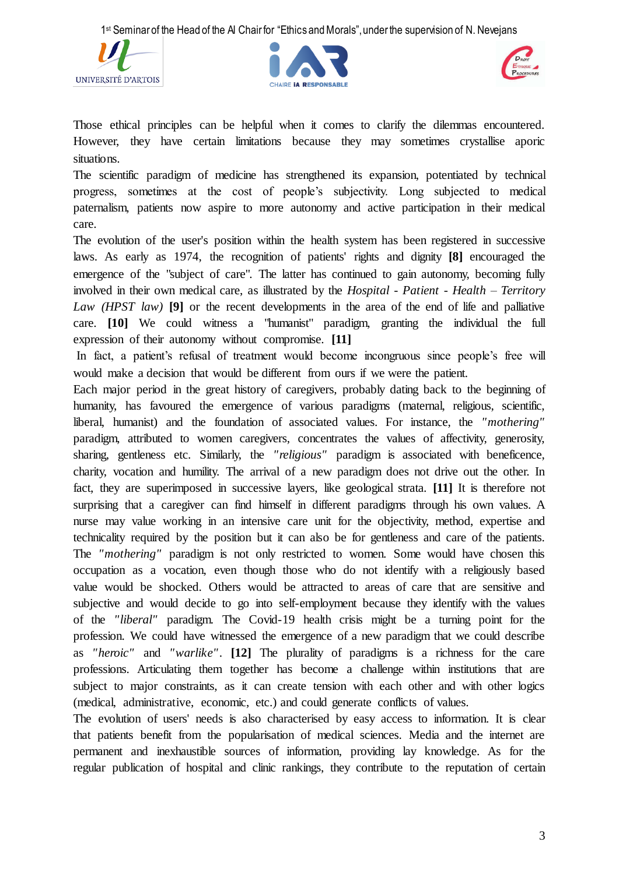





Those ethical principles can be helpful when it comes to clarify the dilemmas encountered. However, they have certain limitations because they may sometimes crystallise aporic situations.

The scientific paradigm of medicine has strengthened its expansion, potentiated by technical progress, sometimes at the cost of people's subjectivity. Long subjected to medical paternalism, patients now aspire to more autonomy and active participation in their medical care.

The evolution of the user's position within the health system has been registered in successive laws. As early as 1974, the recognition of patients' rights and dignity **[8]** encouraged the emergence of the "subject of care". The latter has continued to gain autonomy, becoming fully involved in their own medical care, as illustrated by the *Hospital - Patient - Health – Territory Law (HPST law)* **[9]** or the recent developments in the area of the end of life and palliative care. **[10]** We could witness a "humanist" paradigm, granting the individual the full expression of their autonomy without compromise. **[11]**

In fact, a patient's refusal of treatment would become incongruous since people's free will would make a decision that would be different from ours if we were the patient.

Each major period in the great history of caregivers, probably dating back to the beginning of humanity, has favoured the emergence of various paradigms (maternal, religious, scientific, liberal, humanist) and the foundation of associated values. For instance, the *"mothering"* paradigm, attributed to women caregivers, concentrates the values of affectivity, generosity, sharing, gentleness etc. Similarly, the *"religious"* paradigm is associated with beneficence, charity, vocation and humility. The arrival of a new paradigm does not drive out the other. In fact, they are superimposed in successive layers, like geological strata. **[11]** It is therefore not surprising that a caregiver can find himself in different paradigms through his own values. A nurse may value working in an intensive care unit for the objectivity, method, expertise and technicality required by the position but it can also be for gentleness and care of the patients. The *"mothering"* paradigm is not only restricted to women. Some would have chosen this occupation as a vocation, even though those who do not identify with a religiously based value would be shocked. Others would be attracted to areas of care that are sensitive and subjective and would decide to go into self-employment because they identify with the values of the *"liberal"* paradigm. The Covid-19 health crisis might be a turning point for the profession. We could have witnessed the emergence of a new paradigm that we could describe as *"heroic"* and *"warlike"*. **[12]** The plurality of paradigms is a richness for the care professions. Articulating them together has become a challenge within institutions that are subject to major constraints, as it can create tension with each other and with other logics (medical, administrative, economic, etc.) and could generate conflicts of values.

The evolution of users' needs is also characterised by easy access to information. It is clear that patients benefit from the popularisation of medical sciences. Media and the internet are permanent and inexhaustible sources of information, providing lay knowledge. As for the regular publication of hospital and clinic rankings, they contribute to the reputation of certain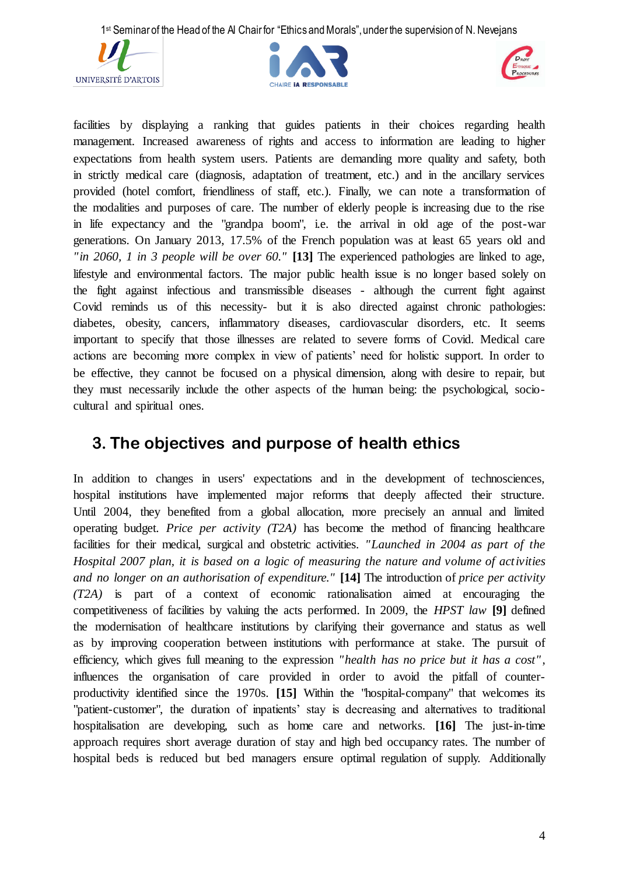





facilities by displaying a ranking that guides patients in their choices regarding health management. Increased awareness of rights and access to information are leading to higher expectations from health system users. Patients are demanding more quality and safety, both in strictly medical care (diagnosis, adaptation of treatment, etc.) and in the ancillary services provided (hotel comfort, friendliness of staff, etc.). Finally, we can note a transformation of the modalities and purposes of care. The number of elderly people is increasing due to the rise in life expectancy and the "grandpa boom", i.e. the arrival in old age of the post-war generations. On January 2013, 17.5% of the French population was at least 65 years old and *"in 2060, 1 in 3 people will be over 60."* **[13]** The experienced pathologies are linked to age, lifestyle and environmental factors. The major public health issue is no longer based solely on the fight against infectious and transmissible diseases - although the current fight against Covid reminds us of this necessity- but it is also directed against chronic pathologies: diabetes, obesity, cancers, inflammatory diseases, cardiovascular disorders, etc. It seems important to specify that those illnesses are related to severe forms of Covid. Medical care actions are becoming more complex in view of patients' need for holistic support. In order to be effective, they cannot be focused on a physical dimension, along with desire to repair, but they must necessarily include the other aspects of the human being: the psychological, sociocultural and spiritual ones.

# **3. The objectives and purpose of health ethics**

In addition to changes in users' expectations and in the development of technosciences, hospital institutions have implemented major reforms that deeply affected their structure. Until 2004, they benefited from a global allocation, more precisely an annual and limited operating budget. *Price per activity (T2A)* has become the method of financing healthcare facilities for their medical, surgical and obstetric activities. *"Launched in 2004 as part of the Hospital 2007 plan, it is based on a logic of measuring the nature and volume of activities and no longer on an authorisation of expenditure."* **[14]** The introduction of *price per activity (T2A)* is part of a context of economic rationalisation aimed at encouraging the competitiveness of facilities by valuing the acts performed. In 2009, the *HPST law* **[9]** defined the modernisation of healthcare institutions by clarifying their governance and status as well as by improving cooperation between institutions with performance at stake. The pursuit of efficiency, which gives full meaning to the expression *"health has no price but it has a cost"* , influences the organisation of care provided in order to avoid the pitfall of counterproductivity identified since the 1970s. **[15]** Within the "hospital-company" that welcomes its "patient-customer", the duration of inpatients' stay is decreasing and alternatives to traditional hospitalisation are developing, such as home care and networks. **[16]** The just-in-time approach requires short average duration of stay and high bed occupancy rates. The number of hospital beds is reduced but bed managers ensure optimal regulation of supply. Additionally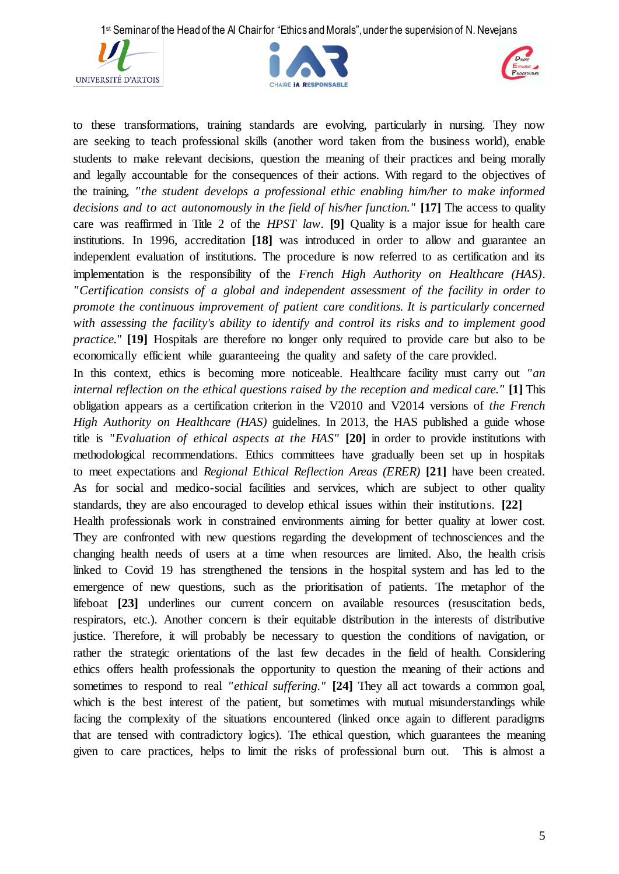





to these transformations, training standards are evolving, particularly in nursing. They now are seeking to teach professional skills (another word taken from the business world), enable students to make relevant decisions, question the meaning of their practices and being morally and legally accountable for the consequences of their actions. With regard to the objectives of the training, *"the student develops a professional ethic enabling him/her to make informed decisions and to act autonomously in the field of his/her function."* [17] The access to quality care was reaffirmed in Title 2 of the *HPST law*. **[9]** Quality is a major issue for health care institutions. In 1996, accreditation **[18]** was introduced in order to allow and guarantee an independent evaluation of institutions. The procedure is now referred to as certification and its implementation is the responsibility of the *French High Authority on Healthcare (HAS)*. *"Certification consists of a global and independent assessment of the facility in order to promote the continuous improvement of patient care conditions. It is particularly concerned with assessing the facility's ability to identify and control its risks and to implement good practice.*" **[19]** Hospitals are therefore no longer only required to provide care but also to be economically efficient while guaranteeing the quality and safety of the care provided.

In this context, ethics is becoming more noticeable. Healthcare facility must carry out *"an internal reflection on the ethical questions raised by the reception and medical care."* **[1]** This obligation appears as a certification criterion in the V2010 and V2014 versions of *the French High Authority on Healthcare (HAS)* guidelines. In 2013, the HAS published a guide whose title is *"Evaluation of ethical aspects at the HAS"* **[20]** in order to provide institutions with methodological recommendations. Ethics committees have gradually been set up in hospitals to meet expectations and *Regional Ethical Reflection Areas (ERER)* **[21]** have been created. As for social and medico-social facilities and services, which are subject to other quality standards, they are also encouraged to develop ethical issues within their institutions. **[22]**

Health professionals work in constrained environments aiming for better quality at lower cost. They are confronted with new questions regarding the development of technosciences and the changing health needs of users at a time when resources are limited. Also, the health crisis linked to Covid 19 has strengthened the tensions in the hospital system and has led to the emergence of new questions, such as the prioritisation of patients. The metaphor of the lifeboat **[23]** underlines our current concern on available resources (resuscitation beds, respirators, etc.). Another concern is their equitable distribution in the interests of distributive justice. Therefore, it will probably be necessary to question the conditions of navigation, or rather the strategic orientations of the last few decades in the field of health. Considering ethics offers health professionals the opportunity to question the meaning of their actions and sometimes to respond to real *"ethical suffering."* **[24]** They all act towards a common goal, which is the best interest of the patient, but sometimes with mutual misunderstandings while facing the complexity of the situations encountered (linked once again to different paradigms that are tensed with contradictory logics). The ethical question, which guarantees the meaning given to care practices, helps to limit the risks of professional burn out. This is almost a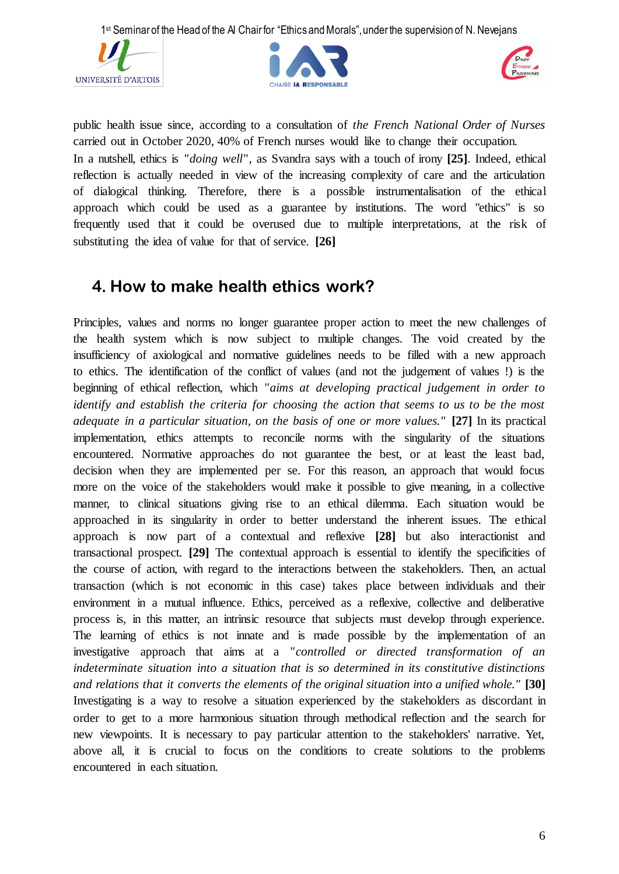





public health issue since, according to a consultation of *the French National Order of Nurses* carried out in October 2020, 40% of French nurses would like to change their occupation. In a nutshell, ethics is *"doing well"*, as Svandra says with a touch of irony **[25]**. Indeed, ethical reflection is actually needed in view of the increasing complexity of care and the articulation of dialogical thinking. Therefore, there is a possible instrumentalisation of the ethical approach which could be used as a guarantee by institutions. The word "ethics" is so frequently used that it could be overused due to multiple interpretations, at the risk of substituting the idea of value for that of service. **[26]**

## **4. How to make health ethics work?**

Principles, values and norms no longer guarantee proper action to meet the new challenges of the health system which is now subject to multiple changes. The void created by the insufficiency of axiological and normative guidelines needs to be filled with a new approach to ethics. The identification of the conflict of values (and not the judgement of values !) is the beginning of ethical reflection, which *"aims at developing practical judgement in order to identify and establish the criteria for choosing the action that seems to us to be the most adequate in a particular situation, on the basis of one or more values."* **[27]** In its practical implementation, ethics attempts to reconcile norms with the singularity of the situations encountered. Normative approaches do not guarantee the best, or at least the least bad, decision when they are implemented per se. For this reason, an approach that would focus more on the voice of the stakeholders would make it possible to give meaning, in a collective manner, to clinical situations giving rise to an ethical dilemma. Each situation would be approached in its singularity in order to better understand the inherent issues. The ethical approach is now part of a contextual and reflexive **[28]** but also interactionist and transactional prospect. **[29]** The contextual approach is essential to identify the specificities of the course of action, with regard to the interactions between the stakeholders. Then, an actual transaction (which is not economic in this case) takes place between individuals and their environment in a mutual influence. Ethics, perceived as a reflexive, collective and deliberative process is, in this matter, an intrinsic resource that subjects must develop through experience. The learning of ethics is not innate and is made possible by the implementation of an investigative approach that aims at a *"controlled or directed transformation of an indeterminate situation into a situation that is so determined in its constitutive distinctions and relations that it converts the elements of the original situation into a unified whole."* **[30]**  Investigating is a way to resolve a situation experienced by the stakeholders as discordant in order to get to a more harmonious situation through methodical reflection and the search for new viewpoints. It is necessary to pay particular attention to the stakeholders' narrative. Yet, above all, it is crucial to focus on the conditions to create solutions to the problems encountered in each situation.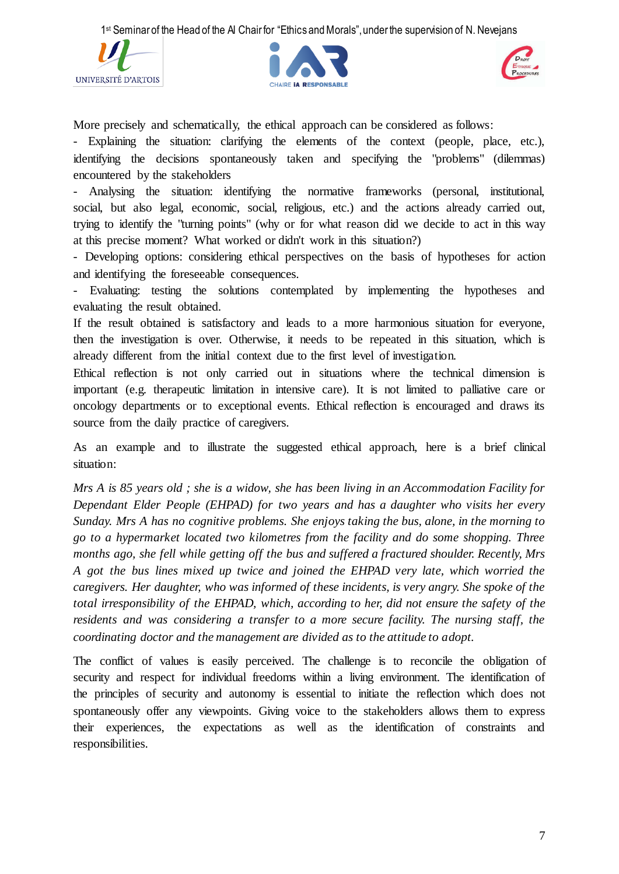





More precisely and schematically, the ethical approach can be considered as follows:

- Explaining the situation: clarifying the elements of the context (people, place, etc.), identifying the decisions spontaneously taken and specifying the "problems" (dilemmas) encountered by the stakeholders

- Analysing the situation: identifying the normative frameworks (personal, institutional, social, but also legal, economic, social, religious, etc.) and the actions already carried out, trying to identify the "turning points" (why or for what reason did we decide to act in this way at this precise moment? What worked or didn't work in this situation?)

- Developing options: considering ethical perspectives on the basis of hypotheses for action and identifying the foreseeable consequences.

Evaluating: testing the solutions contemplated by implementing the hypotheses and evaluating the result obtained.

If the result obtained is satisfactory and leads to a more harmonious situation for everyone, then the investigation is over. Otherwise, it needs to be repeated in this situation, which is already different from the initial context due to the first level of investigation.

Ethical reflection is not only carried out in situations where the technical dimension is important (e.g. therapeutic limitation in intensive care). It is not limited to palliative care or oncology departments or to exceptional events. Ethical reflection is encouraged and draws its source from the daily practice of caregivers.

As an example and to illustrate the suggested ethical approach, here is a brief clinical situation:

*Mrs A is 85 years old ; she is a widow, she has been living in an Accommodation Facility for Dependant Elder People (EHPAD) for two years and has a daughter who visits her every Sunday. Mrs A has no cognitive problems. She enjoys taking the bus, alone, in the morning to go to a hypermarket located two kilometres from the facility and do some shopping. Three months ago, she fell while getting off the bus and suffered a fractured shoulder. Recently, Mrs A got the bus lines mixed up twice and joined the EHPAD very late, which worried the caregivers. Her daughter, who was informed of these incidents, is very angry. She spoke of the total irresponsibility of the EHPAD, which, according to her, did not ensure the safety of the*  residents and was considering a transfer to a more secure facility. The nursing staff, the *coordinating doctor and the management are divided as to the attitude to adopt.*

The conflict of values is easily perceived. The challenge is to reconcile the obligation of security and respect for individual freedoms within a living environment. The identification of the principles of security and autonomy is essential to initiate the reflection which does not spontaneously offer any viewpoints. Giving voice to the stakeholders allows them to express their experiences, the expectations as well as the identification of constraints and responsibilities.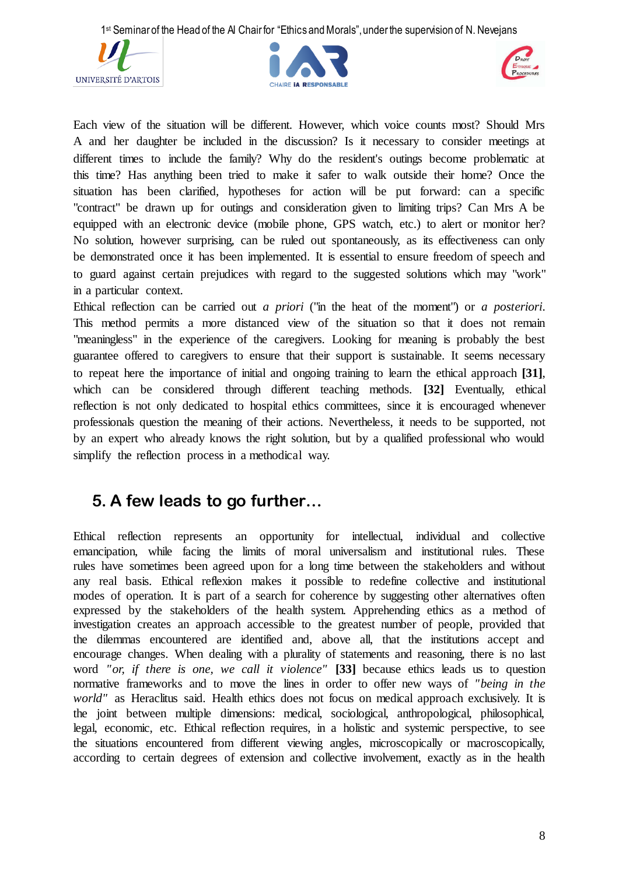





Each view of the situation will be different. However, which voice counts most? Should Mrs A and her daughter be included in the discussion? Is it necessary to consider meetings at different times to include the family? Why do the resident's outings become problematic at this time? Has anything been tried to make it safer to walk outside their home? Once the situation has been clarified, hypotheses for action will be put forward: can a specific "contract" be drawn up for outings and consideration given to limiting trips? Can Mrs A be equipped with an electronic device (mobile phone, GPS watch, etc.) to alert or monitor her? No solution, however surprising, can be ruled out spontaneously, as its effectiveness can only be demonstrated once it has been implemented. It is essential to ensure freedom of speech and to guard against certain prejudices with regard to the suggested solutions which may "work" in a particular context.

Ethical reflection can be carried out *a priori* ("in the heat of the moment") or *a posteriori*. This method permits a more distanced view of the situation so that it does not remain "meaningless" in the experience of the caregivers. Looking for meaning is probably the best guarantee offered to caregivers to ensure that their support is sustainable. It seems necessary to repeat here the importance of initial and ongoing training to learn the ethical approach **[31]**, which can be considered through different teaching methods. **[32]** Eventually, ethical reflection is not only dedicated to hospital ethics committees, since it is encouraged whenever professionals question the meaning of their actions. Nevertheless, it needs to be supported, not by an expert who already knows the right solution, but by a qualified professional who would simplify the reflection process in a methodical way.

## **5. A few leads to go further…**

Ethical reflection represents an opportunity for intellectual, individual and collective emancipation, while facing the limits of moral universalism and institutional rules. These rules have sometimes been agreed upon for a long time between the stakeholders and without any real basis. Ethical reflexion makes it possible to redefine collective and institutional modes of operation. It is part of a search for coherence by suggesting other alternatives often expressed by the stakeholders of the health system. Apprehending ethics as a method of investigation creates an approach accessible to the greatest number of people, provided that the dilemmas encountered are identified and, above all, that the institutions accept and encourage changes. When dealing with a plurality of statements and reasoning, there is no last word *"or, if there is one, we call it violence"* **[33]** because ethics leads us to question normative frameworks and to move the lines in order to offer new ways of *"being in the world"* as Heraclitus said. Health ethics does not focus on medical approach exclusively. It is the joint between multiple dimensions: medical, sociological, anthropological, philosophical, legal, economic, etc. Ethical reflection requires, in a holistic and systemic perspective, to see the situations encountered from different viewing angles, microscopically or macroscopically, according to certain degrees of extension and collective involvement, exactly as in the health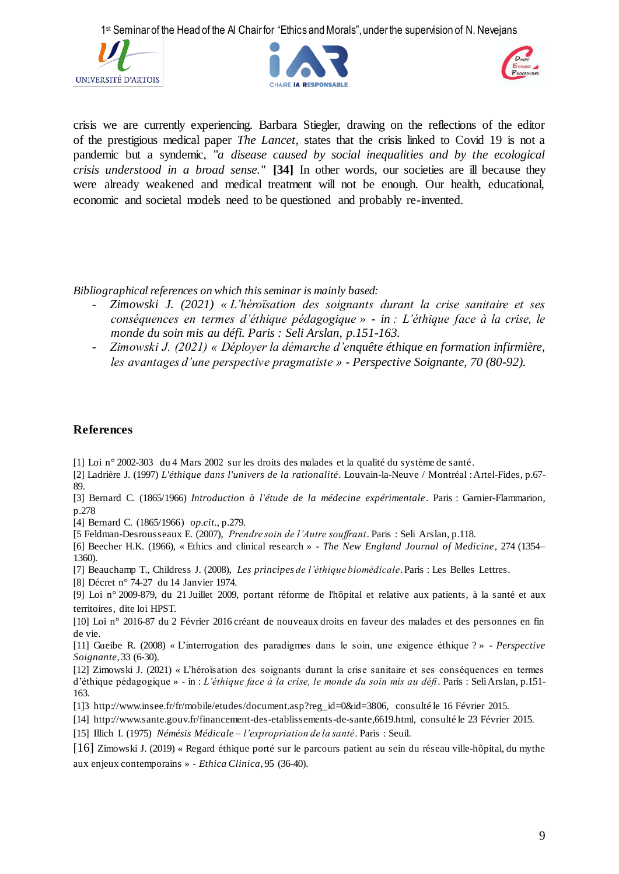





crisis we are currently experiencing. Barbara Stiegler, drawing on the reflections of the editor of the prestigious medical paper *The Lancet*, states that the crisis linked to Covid 19 is not a pandemic but a syndemic, "*a disease caused by social inequalities and by the ecological crisis understood in a broad sense."* **[34]** In other words, our societies are ill because they were already weakened and medical treatment will not be enough. Our health, educational, economic and societal models need to be questioned and probably re-invented.

*Bibliographical references on which this seminar is mainly based:*

- *Zimowski J. (2021) « L'héroïsation des soignants durant la crise sanitaire et ses conséquences en termes d'éthique pédagogique » - in : L'éthique face à la crise, le monde du soin mis au défi. Paris : Seli Arslan, p.151-163.*
- *Zimowski J. (2021) « Déployer la démarche d'enquête éthique en formation infirmière, les avantages d'une perspective pragmatiste » - Perspective Soignante, 70 (80-92).*

#### **References**

[1] Loi n° [2002-303 du 4 Mars 2002 sur les droits des malades et la qualité du système de santé.](http://www.legifrance.gouv.fr/jopdf/common/jo_pdf.jsp?numJO=0&dateJO=20020305&numTexte=1&pageDebut=04118&pageFin=04159)

[2] Ladrière J. (1997) *L'éthique dans l'univers de la rationalité*. Louvain-la-Neuve / Montréal : Artel-Fides, p.67- 89.

[3] Bernard C. (1865/1966) *Introduction à l'étude de la médecine expérimentale*. Paris : Garnier-Flammarion, p.278

[4] Bernard C. (1865/1966) *op.cit.*, p.279.

[5 Feldman-Desrousseaux E. (2007), *Prendre soin de l'Autre souffrant*. Paris : Seli Arslan, p.118.

[6] Beecher H.K. (1966), « Ethics and clinical research » - *The New England Journal of Medicine*, 274 (1354– 1360).

[7] Beauchamp T., Childress J. (2008), *Les principes de l'éthique biomédicale*. Paris : Les Belles Lettres.

[8] Décret n° 74-27 du 14 Janvier 1974.

[9] Loi n° 2009-879, du 21 Juillet 2009, portant réforme de l'hôpital et relative aux patients, à la santé et aux territoires, dite loi HPST.

[10] Loi n° 2016-87 du 2 Février 2016 créant de nouveaux droits en faveur des malades et des personnes en fin de vie.

[11] Gueibe R. (2008) « L'interrogation des paradigmes dans le soin, une exigence éthique ? » *- Perspective Soignante*, 33 (6-30).

[12] Zimowski J. (2021) « L'héroïsation des soignants durant la crise sanitaire et ses conséquences en termes d'éthique pédagogique » - in : *L'éthique face à la crise, le monde du soin mis au défi*. Paris : Seli Arslan, p.151- 163.

[1]3 [http://www.insee.fr/fr/mobile/etudes/document.asp?reg\\_id=0&id=3806,](http://www.insee.fr/fr/mobile/etudes/document.asp?reg_id=0&id=3806) consulté le 16 Février 2015.

[14] [http://www.sante.gouv.fr/financement-des-etablissements-de-sante,6619.html,](http://www.sante.gouv.fr/financement-des-etablissements-de-sante,6619.html) consulté le 23 Février 2015.

[15] Illich I. (1975) *Némésis Médicale – l'expropriation de la santé*. Paris : Seuil.

[16] Zimowski J. (2019) « Regard éthique porté sur le parcours patient au sein du réseau ville-hôpital, du mythe aux enjeux contemporains » - *Ethica Clinica*, 95 (36-40).